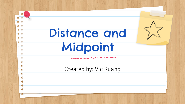|            | Distance and          |  |
|------------|-----------------------|--|
|            | Midpoint              |  |
|            |                       |  |
| $\sqrt{2}$ | Created by: Vic Kuang |  |
|            |                       |  |
|            |                       |  |
|            |                       |  |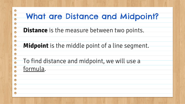| <b>What are Distance and Midpoint?</b>                                 |
|------------------------------------------------------------------------|
| <b>Distance</b> is the measure between two points.                     |
| <b>Midpoint</b> is the middle point of a line segment.                 |
| $\bigcirc$<br>To find distance and midpoint, we will use a<br>formula. |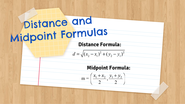## Distance and<br>Midpoint Formulas<br>Distance Formula:  $d = \sqrt{(x_2 - x_1)^2 + (y_2 - y_1)^2}$ **Midpoint Formula:**  $m = \left(\frac{x_1 + x_2}{2}, \frac{y_1 + y_2}{2}\right)$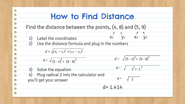|            | <b>How to Find Distance</b>                                                                                                                                                                                                                          |
|------------|------------------------------------------------------------------------------------------------------------------------------------------------------------------------------------------------------------------------------------------------------|
| $\bigcirc$ | Find the distance between the points, $(4, 8)$ and $(5, 9)$                                                                                                                                                                                          |
|            | $\begin{matrix} 7 & 1 & 7 \\ x_1 & y_1 & x_2 & y_2 \end{matrix}$<br>Label the coordinates<br>$\left( \begin{matrix} 1 \end{matrix} \right)$<br>(2)<br>Use the distance formula and plug in the numbers<br>$d = \sqrt{(x_2 - x_1)^2 + (y_2 - y_1)^2}$ |
| O          | $d = \sqrt{(5-4)^2 + (9-8)^2}$<br>$d = \sqrt{(5-4)^2 + (9-8)^2}$                                                                                                                                                                                     |
| $\bigcirc$ | $d = \sqrt{1^2 + 1^2}$<br>Solve the equation<br>3)<br>Plug radical 2 into the calculator and<br>4)<br>$d =$<br>$\sqrt{2}$<br>you'll get your answer                                                                                                  |
|            | $d = 1.414$                                                                                                                                                                                                                                          |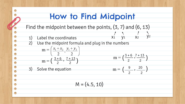## How to Find Midpoint Find the midpoint between the points, (3, 7) and (6, 13)  $\begin{array}{ccccc}\n & \wedge & \wedge & \wedge & \wedge \\
\chi_1 & \chi_1 & \chi_2 & \chi_2\n \end{array}$ Label the coordinates 2) Use the midpoint formula and plug in the numbers  $m = \left(\frac{x_1 + x_2}{2}, \frac{y_1 + y_2}{2}\right)$  $m = \left( \frac{3+6}{2}, \frac{7+13}{2} \right)$  $m = \left(\frac{3+6}{2}, \frac{7+13}{2}\right)$   $m = \left(\frac{2}{2}\right)$  $3 + 6$ ,  $7 + 13$ 2 2 **CONTRACTOR**  $\left(\frac{9}{2}, \frac{20}{3}\right)$ 3) Solve the equation  $m =$ 2 2  $M = (4.5, 10)$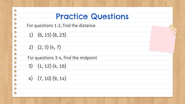| <b>Practice Questions</b>            |
|--------------------------------------|
| For questions 1-2, find the distance |
| $1)$ $(6, 15)$ $(8, 23)$             |
| 2) $(2, 5)$ $(4, 7)$                 |
| For questions 3-4, find the midpoint |
| $3)$ $(1, 12)$ $(4, 16)$             |
| $(4)$ $(7, 10)$ $(9, 14)$            |
|                                      |